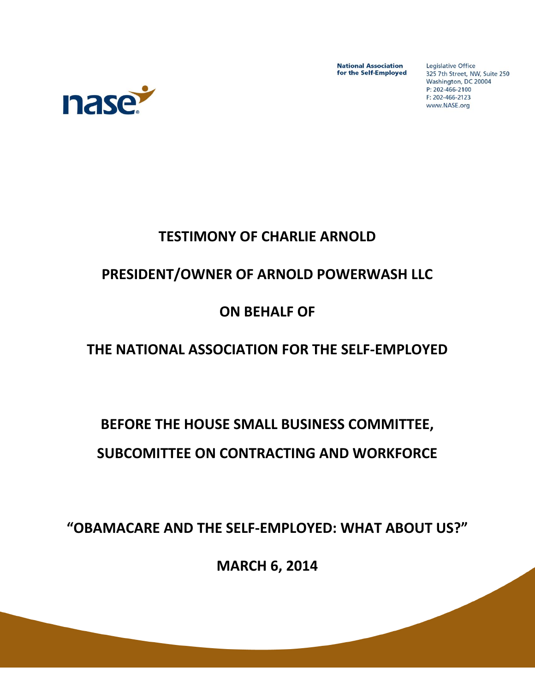**National Association** for the Self-Employed Legislative Office 325 7th Street, NW, Suite 250 Washington, DC 20004 P: 202-466-2100 F: 202-466-2123 www.NASE.org



## **TESTIMONY OF CHARLIE ARNOLD**

### **PRESIDENT/OWNER OF ARNOLD POWERWASH LLC**

#### **ON BEHALF OF**

## **THE NATIONAL ASSOCIATION FOR THE SELF-EMPLOYED**

# **BEFORE THE HOUSE SMALL BUSINESS COMMITTEE, SUBCOMITTEE ON CONTRACTING AND WORKFORCE**

**"OBAMACARE AND THE SELF-EMPLOYED: WHAT ABOUT US?"** 

**MARCH 6, 2014**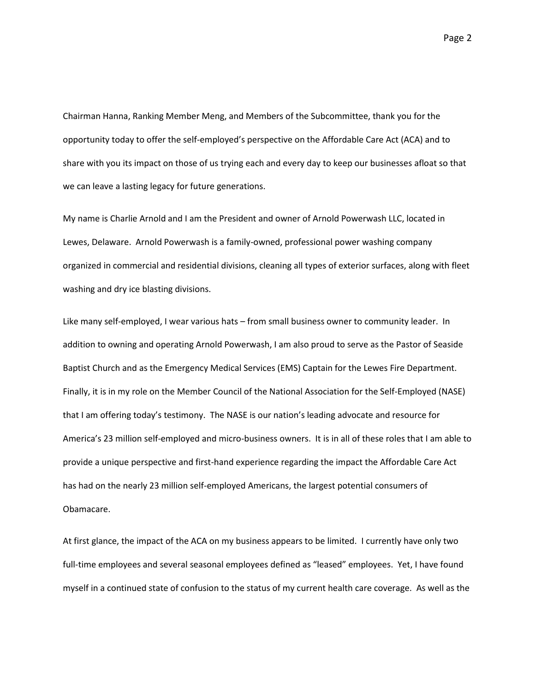Chairman Hanna, Ranking Member Meng, and Members of the Subcommittee, thank you for the opportunity today to offer the self-employed's perspective on the Affordable Care Act (ACA) and to share with you its impact on those of us trying each and every day to keep our businesses afloat so that we can leave a lasting legacy for future generations.

My name is Charlie Arnold and I am the President and owner of Arnold Powerwash LLC, located in Lewes, Delaware. Arnold Powerwash is a family-owned, professional power washing company organized in commercial and residential divisions, cleaning all types of exterior surfaces, along with fleet washing and dry ice blasting divisions.

Like many self-employed, I wear various hats – from small business owner to community leader. In addition to owning and operating Arnold Powerwash, I am also proud to serve as the Pastor of Seaside Baptist Church and as the Emergency Medical Services (EMS) Captain for the Lewes Fire Department. Finally, it is in my role on the Member Council of the National Association for the Self-Employed (NASE) that I am offering today's testimony. The NASE is our nation's leading advocate and resource for America's 23 million self-employed and micro-business owners. It is in all of these roles that I am able to provide a unique perspective and first-hand experience regarding the impact the Affordable Care Act has had on the nearly 23 million self-employed Americans, the largest potential consumers of Obamacare.

At first glance, the impact of the ACA on my business appears to be limited. I currently have only two full-time employees and several seasonal employees defined as "leased" employees. Yet, I have found myself in a continued state of confusion to the status of my current health care coverage. As well as the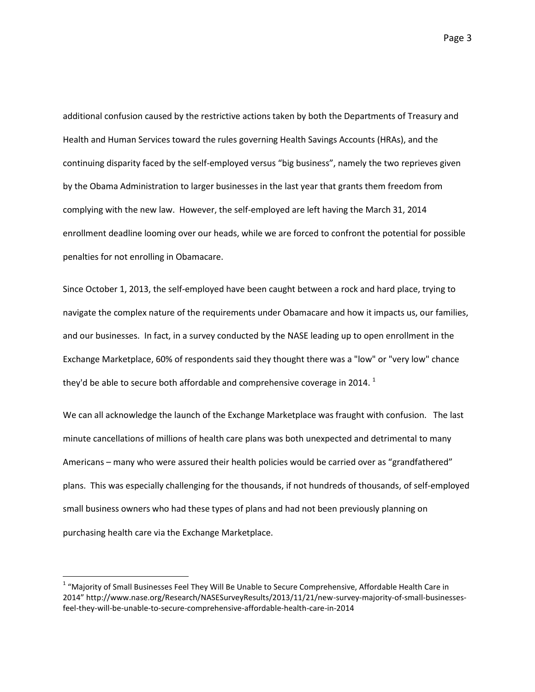additional confusion caused by the restrictive actions taken by both the Departments of Treasury and Health and Human Services toward the rules governing Health Savings Accounts (HRAs), and the continuing disparity faced by the self-employed versus "big business", namely the two reprieves given by the Obama Administration to larger businesses in the last year that grants them freedom from complying with the new law. However, the self-employed are left having the March 31, 2014 enrollment deadline looming over our heads, while we are forced to confront the potential for possible penalties for not enrolling in Obamacare.

Since October 1, 2013, the self-employed have been caught between a rock and hard place, trying to navigate the complex nature of the requirements under Obamacare and how it impacts us, our families, and our businesses. In fact, in a survey conducted by the NASE leading up to open enrollment in the Exchange Marketplace, 60% of respondents said they thought there was a "low" or "very low" chance they'd be able to secure both affordable and comprehensive coverage in 2014.  $1$ 

We can all acknowledge the launch of the Exchange Marketplace was fraught with confusion. The last minute cancellations of millions of health care plans was both unexpected and detrimental to many Americans – many who were assured their health policies would be carried over as "grandfathered" plans. This was especially challenging for the thousands, if not hundreds of thousands, of self-employed small business owners who had these types of plans and had not been previously planning on purchasing health care via the Exchange Marketplace.

 $\overline{a}$ 

 $1$  "Majority of Small Businesses Feel They Will Be Unable to Secure Comprehensive, Affordable Health Care in 2014" http://www.nase.org/Research/NASESurveyResults/2013/11/21/new-survey-majority-of-small-businessesfeel-they-will-be-unable-to-secure-comprehensive-affordable-health-care-in-2014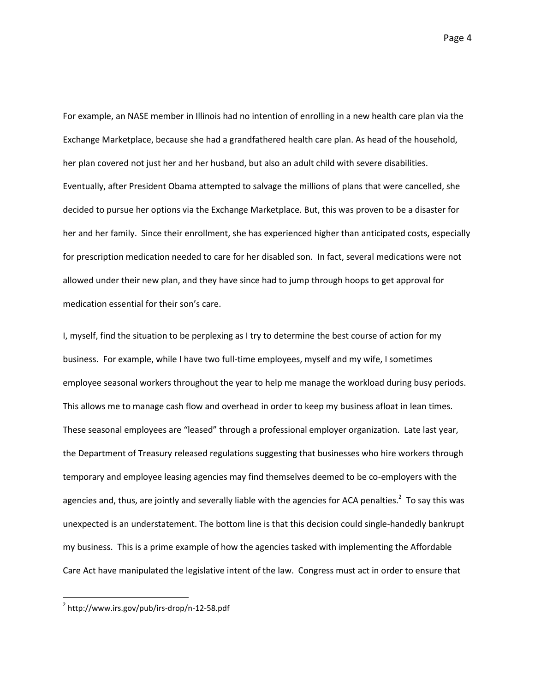For example, an NASE member in Illinois had no intention of enrolling in a new health care plan via the Exchange Marketplace, because she had a grandfathered health care plan. As head of the household, her plan covered not just her and her husband, but also an adult child with severe disabilities. Eventually, after President Obama attempted to salvage the millions of plans that were cancelled, she decided to pursue her options via the Exchange Marketplace. But, this was proven to be a disaster for her and her family. Since their enrollment, she has experienced higher than anticipated costs, especially for prescription medication needed to care for her disabled son. In fact, several medications were not allowed under their new plan, and they have since had to jump through hoops to get approval for medication essential for their son's care.

I, myself, find the situation to be perplexing as I try to determine the best course of action for my business. For example, while I have two full-time employees, myself and my wife, I sometimes employee seasonal workers throughout the year to help me manage the workload during busy periods. This allows me to manage cash flow and overhead in order to keep my business afloat in lean times. These seasonal employees are "leased" through a professional employer organization. Late last year, the Department of Treasury released regulations suggesting that businesses who hire workers through temporary and employee leasing agencies may find themselves deemed to be co-employers with the agencies and, thus, are jointly and severally liable with the agencies for ACA penalties.<sup>2</sup> To say this was unexpected is an understatement. The bottom line is that this decision could single-handedly bankrupt my business. This is a prime example of how the agencies tasked with implementing the Affordable Care Act have manipulated the legislative intent of the law. Congress must act in order to ensure that

 $\overline{a}$ 

<sup>2</sup> http://www.irs.gov/pub/irs-drop/n-12-58.pdf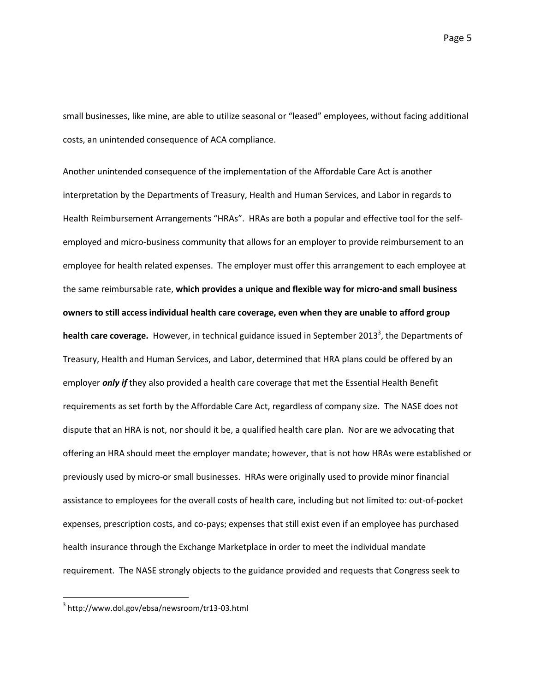small businesses, like mine, are able to utilize seasonal or "leased" employees, without facing additional costs, an unintended consequence of ACA compliance.

Another unintended consequence of the implementation of the Affordable Care Act is another interpretation by the Departments of Treasury, Health and Human Services, and Labor in regards to Health Reimbursement Arrangements "HRAs". HRAs are both a popular and effective tool for the selfemployed and micro-business community that allows for an employer to provide reimbursement to an employee for health related expenses. The employer must offer this arrangement to each employee at the same reimbursable rate, **which provides a unique and flexible way for micro-and small business owners to still access individual health care coverage, even when they are unable to afford group**  health care coverage. However, in technical guidance issued in September 2013<sup>3</sup>, the Departments of Treasury, Health and Human Services, and Labor, determined that HRA plans could be offered by an employer *only if* they also provided a health care coverage that met the Essential Health Benefit requirements as set forth by the Affordable Care Act, regardless of company size. The NASE does not dispute that an HRA is not, nor should it be, a qualified health care plan. Nor are we advocating that offering an HRA should meet the employer mandate; however, that is not how HRAs were established or previously used by micro-or small businesses. HRAs were originally used to provide minor financial assistance to employees for the overall costs of health care, including but not limited to: out-of-pocket expenses, prescription costs, and co-pays; expenses that still exist even if an employee has purchased health insurance through the Exchange Marketplace in order to meet the individual mandate requirement. The NASE strongly objects to the guidance provided and requests that Congress seek to

 $\overline{a}$ 

<sup>3</sup> http://www.dol.gov/ebsa/newsroom/tr13-03.html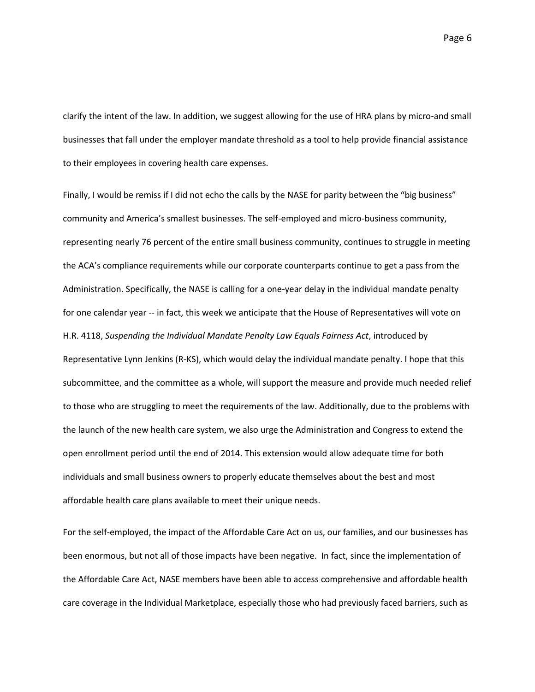Page 6

clarify the intent of the law. In addition, we suggest allowing for the use of HRA plans by micro-and small businesses that fall under the employer mandate threshold as a tool to help provide financial assistance to their employees in covering health care expenses.

Finally, I would be remiss if I did not echo the calls by the NASE for parity between the "big business" community and America's smallest businesses. The self-employed and micro-business community, representing nearly 76 percent of the entire small business community, continues to struggle in meeting the ACA's compliance requirements while our corporate counterparts continue to get a pass from the Administration. Specifically, the NASE is calling for a one-year delay in the individual mandate penalty for one calendar year -- in fact, this week we anticipate that the House of Representatives will vote on H.R. 4118, *Suspending the Individual Mandate Penalty Law Equals Fairness Act*, introduced by Representative Lynn Jenkins (R-KS), which would delay the individual mandate penalty. I hope that this subcommittee, and the committee as a whole, will support the measure and provide much needed relief to those who are struggling to meet the requirements of the law. Additionally, due to the problems with the launch of the new health care system, we also urge the Administration and Congress to extend the open enrollment period until the end of 2014. This extension would allow adequate time for both individuals and small business owners to properly educate themselves about the best and most affordable health care plans available to meet their unique needs.

For the self-employed, the impact of the Affordable Care Act on us, our families, and our businesses has been enormous, but not all of those impacts have been negative. In fact, since the implementation of the Affordable Care Act, NASE members have been able to access comprehensive and affordable health care coverage in the Individual Marketplace, especially those who had previously faced barriers, such as